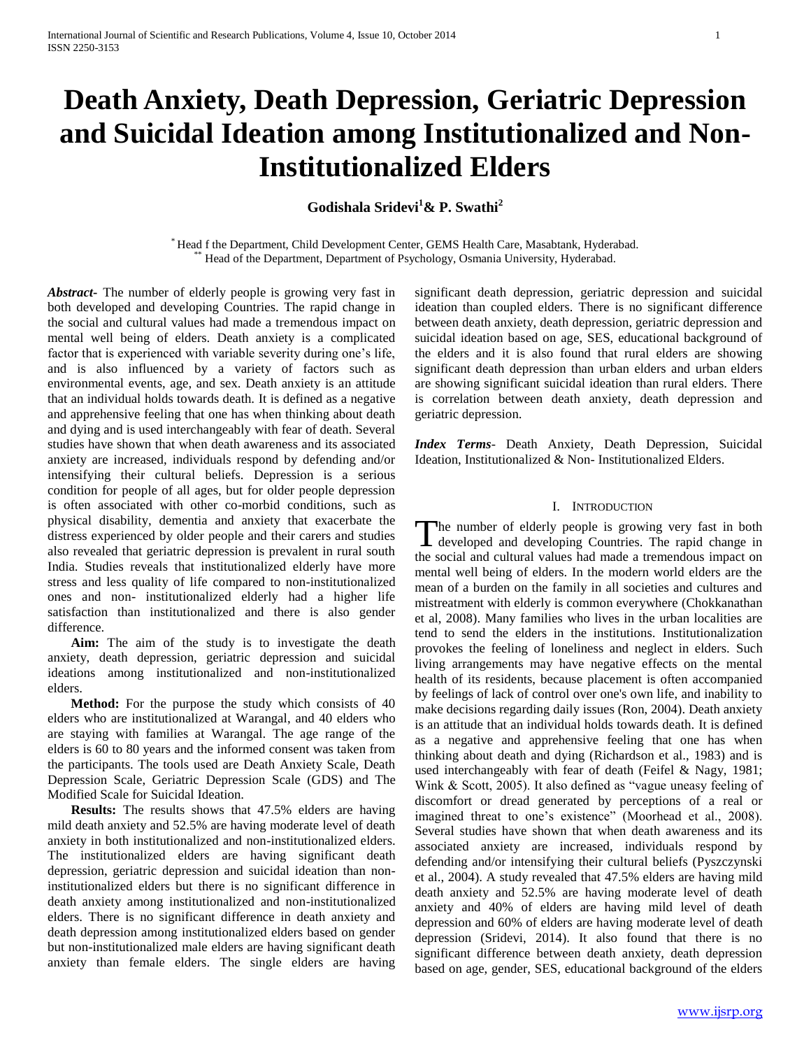# **Death Anxiety, Death Depression, Geriatric Depression and Suicidal Ideation among Institutionalized and Non-Institutionalized Elders**

**Godishala Sridevi<sup>1</sup>& P. Swathi<sup>2</sup>**

\* Head f the Department, Child Development Center, GEMS Health Care, Masabtank, Hyderabad. \*\* Head of the Department, Department of Psychology, Osmania University, Hyderabad.

*Abstract***-** The number of elderly people is growing very fast in both developed and developing Countries. The rapid change in the social and cultural values had made a tremendous impact on mental well being of elders. Death anxiety is a complicated factor that is experienced with variable severity during one's life, and is also influenced by a variety of factors such as environmental events, age, and sex. Death anxiety is an attitude that an individual holds towards death. It is defined as a negative and apprehensive feeling that one has when thinking about death and dying and is used interchangeably with fear of death. Several studies have shown that when death awareness and its associated anxiety are increased, individuals respond by defending and/or intensifying their cultural beliefs. Depression is a serious condition for people of all ages, but for older people depression is often associated with other co-morbid conditions, such as physical disability, dementia and anxiety that exacerbate the distress experienced by older people and their carers and studies also revealed that geriatric depression is prevalent in rural south India. Studies reveals that institutionalized elderly have more stress and less quality of life compared to non-institutionalized ones and non- institutionalized elderly had a higher life satisfaction than institutionalized and there is also gender difference.

 **Aim:** The aim of the study is to investigate the death anxiety, death depression, geriatric depression and suicidal ideations among institutionalized and non-institutionalized elders.

 **Method:** For the purpose the study which consists of 40 elders who are institutionalized at Warangal, and 40 elders who are staying with families at Warangal. The age range of the elders is 60 to 80 years and the informed consent was taken from the participants. The tools used are Death Anxiety Scale, Death Depression Scale, Geriatric Depression Scale (GDS) and The Modified Scale for Suicidal Ideation.

 **Results:** The results shows that 47.5% elders are having mild death anxiety and 52.5% are having moderate level of death anxiety in both institutionalized and non-institutionalized elders. The institutionalized elders are having significant death depression, geriatric depression and suicidal ideation than noninstitutionalized elders but there is no significant difference in death anxiety among institutionalized and non-institutionalized elders. There is no significant difference in death anxiety and death depression among institutionalized elders based on gender but non-institutionalized male elders are having significant death anxiety than female elders. The single elders are having

significant death depression, geriatric depression and suicidal ideation than coupled elders. There is no significant difference between death anxiety, death depression, geriatric depression and suicidal ideation based on age, SES, educational background of the elders and it is also found that rural elders are showing significant death depression than urban elders and urban elders are showing significant suicidal ideation than rural elders. There is correlation between death anxiety, death depression and geriatric depression.

*Index Terms*- Death Anxiety, Death Depression, Suicidal Ideation, Institutionalized & Non- Institutionalized Elders.

# I. INTRODUCTION

he number of elderly people is growing very fast in both The number of elderly people is growing very fast in both developed and developing Countries. The rapid change in the social and cultural values had made a tremendous impact on mental well being of elders. In the modern world elders are the mean of a burden on the family in all societies and cultures and mistreatment with elderly is common everywhere (Chokkanathan et al, 2008). Many families who lives in the urban localities are tend to send the elders in the institutions. Institutionalization provokes the feeling of loneliness and neglect in elders. Such living arrangements may have negative effects on the mental health of its residents, because placement is often accompanied by feelings of lack of control over one's own life, and inability to make decisions regarding daily issues (Ron, 2004). Death anxiety is an attitude that an individual holds towards death. It is defined as a negative and apprehensive feeling that one has when thinking about death and dying (Richardson et al., 1983) and is used interchangeably with fear of death (Feifel & Nagy, 1981; Wink & Scott, 2005). It also defined as "vague uneasy feeling of discomfort or dread generated by perceptions of a real or imagined threat to one"s existence" (Moorhead et al., 2008). Several studies have shown that when death awareness and its associated anxiety are increased, individuals respond by defending and/or intensifying their cultural beliefs (Pyszczynski et al., 2004). A study revealed that 47.5% elders are having mild death anxiety and 52.5% are having moderate level of death anxiety and 40% of elders are having mild level of death depression and 60% of elders are having moderate level of death depression (Sridevi, 2014). It also found that there is no significant difference between death anxiety, death depression based on age, gender, SES, educational background of the elders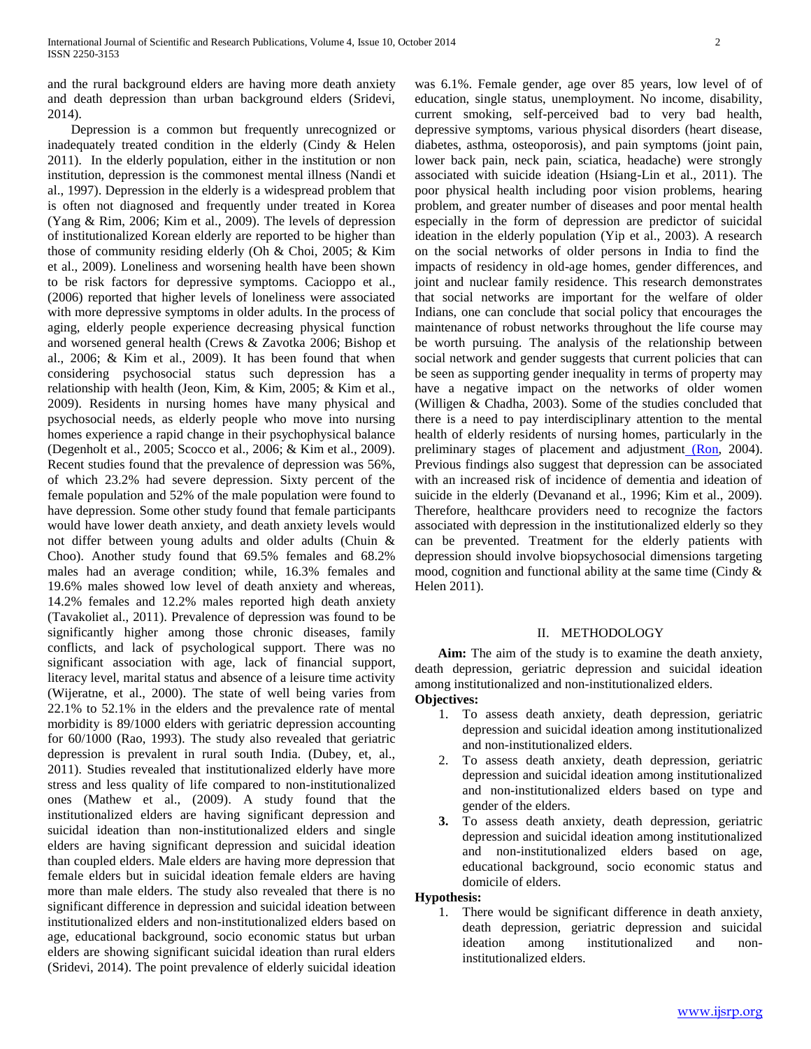and the rural background elders are having more death anxiety and death depression than urban background elders (Sridevi, 2014).

 Depression is a common but frequently unrecognized or inadequately treated condition in the elderly (Cindy & Helen 2011).In the elderly population, either in the institution or non institution, depression is the commonest mental illness (Nandi et al., 1997). Depression in the elderly is a widespread problem that is often not diagnosed and frequently under treated in Korea (Yang & Rim, 2006; Kim et al., 2009). The levels of depression of institutionalized Korean elderly are reported to be higher than those of community residing elderly (Oh & Choi, 2005; & Kim et al., 2009). Loneliness and worsening health have been shown to be risk factors for depressive symptoms. Cacioppo et al., (2006) reported that higher levels of loneliness were associated with more depressive symptoms in older adults. In the process of aging, elderly people experience decreasing physical function and worsened general health (Crews & Zavotka 2006; Bishop et al., 2006; & Kim et al., 2009). It has been found that when considering psychosocial status such depression has a relationship with health (Jeon, Kim, & Kim, 2005; & Kim et al., 2009). Residents in nursing homes have many physical and psychosocial needs, as elderly people who move into nursing homes experience a rapid change in their psychophysical balance (Degenholt et al., 2005; Scocco et al., 2006; & Kim et al., 2009). Recent studies found that the prevalence of depression was 56%, of which 23.2% had severe depression. Sixty percent of the female population and 52% of the male population were found to have depression. Some other study found that female participants would have lower death anxiety, and death anxiety levels would not differ between young adults and older adults (Chuin & Choo). Another study found that 69.5% females and 68.2% males had an average condition; while, 16.3% females and 19.6% males showed low level of death anxiety and whereas, 14.2% females and 12.2% males reported high death anxiety (Tavakoliet al., 2011). Prevalence of depression was found to be significantly higher among those chronic diseases, family conflicts, and lack of psychological support. There was no significant association with age, lack of financial support, literacy level, marital status and absence of a leisure time activity (Wijeratne, et al., 2000). The state of well being varies from 22.1% to 52.1% in the elders and the prevalence rate of mental morbidity is 89/1000 elders with geriatric depression accounting for 60/1000 (Rao, 1993). The study also revealed that geriatric depression is prevalent in rural south India. (Dubey, et, al., 2011). Studies revealed that institutionalized elderly have more stress and less quality of life compared to non-institutionalized ones (Mathew et al., (2009). A study found that the institutionalized elders are having significant depression and suicidal ideation than non-institutionalized elders and single elders are having significant depression and suicidal ideation than coupled elders. Male elders are having more depression that female elders but in suicidal ideation female elders are having more than male elders. The study also revealed that there is no significant difference in depression and suicidal ideation between institutionalized elders and non-institutionalized elders based on age, educational background, socio economic status but urban elders are showing significant suicidal ideation than rural elders (Sridevi, 2014). The point prevalence of elderly suicidal ideation was 6.1%. Female gender, age over 85 years, low level of of education, single status, unemployment. No income, disability, current smoking, self-perceived bad to very bad health, depressive symptoms, various physical disorders (heart disease, diabetes, asthma, osteoporosis), and pain symptoms (joint pain, lower back pain, neck pain, sciatica, headache) were strongly associated with suicide ideation (Hsiang-Lin et al., 2011). The poor physical health including poor vision problems, hearing problem, and greater number of diseases and poor mental health especially in the form of depression are predictor of suicidal ideation in the elderly population (Yip et al., 2003). A research on the social networks of older persons in India to find the impacts of residency in old-age homes, gender differences, and joint and nuclear family residence. This research demonstrates that social networks are important for the welfare of older Indians, one can conclude that social policy that encourages the maintenance of robust networks throughout the life course may be worth pursuing. The analysis of the relationship between social network and gender suggests that current policies that can be seen as supporting gender inequality in terms of property may have a negative impact on the networks of older women (Willigen & Chadha, 2003). Some of the studies concluded that there is a need to pay interdisciplinary attention to the mental health of elderly residents of nursing homes, particularly in the preliminary stages of placement and adjustment [\(Ron,](http://www.tandfonline.com/action/doSearch?action=runSearch&type=advanced&searchType=journal&result=true&prevSearch=%2Bauthorsfield%3A(Ron%2C+P)) 2004). Previous findings also suggest that depression can be associated with an increased risk of incidence of dementia and ideation of suicide in the elderly (Devanand et al., 1996; Kim et al., 2009). Therefore, healthcare providers need to recognize the factors associated with depression in the institutionalized elderly so they can be prevented. Treatment for the elderly patients with depression should involve biopsychosocial dimensions targeting mood, cognition and functional ability at the same time (Cindy & Helen 2011).

# II. METHODOLOGY

 **Aim:** The aim of the study is to examine the death anxiety, death depression, geriatric depression and suicidal ideation among institutionalized and non-institutionalized elders. **Objectives:**

- 1. To assess death anxiety, death depression, geriatric depression and suicidal ideation among institutionalized and non-institutionalized elders.
- 2. To assess death anxiety, death depression, geriatric depression and suicidal ideation among institutionalized and non-institutionalized elders based on type and gender of the elders.
- **3.** To assess death anxiety, death depression, geriatric depression and suicidal ideation among institutionalized and non-institutionalized elders based on age, educational background, socio economic status and domicile of elders.

## **Hypothesis:**

1. There would be significant difference in death anxiety, death depression, geriatric depression and suicidal ideation among institutionalized and noninstitutionalized elders.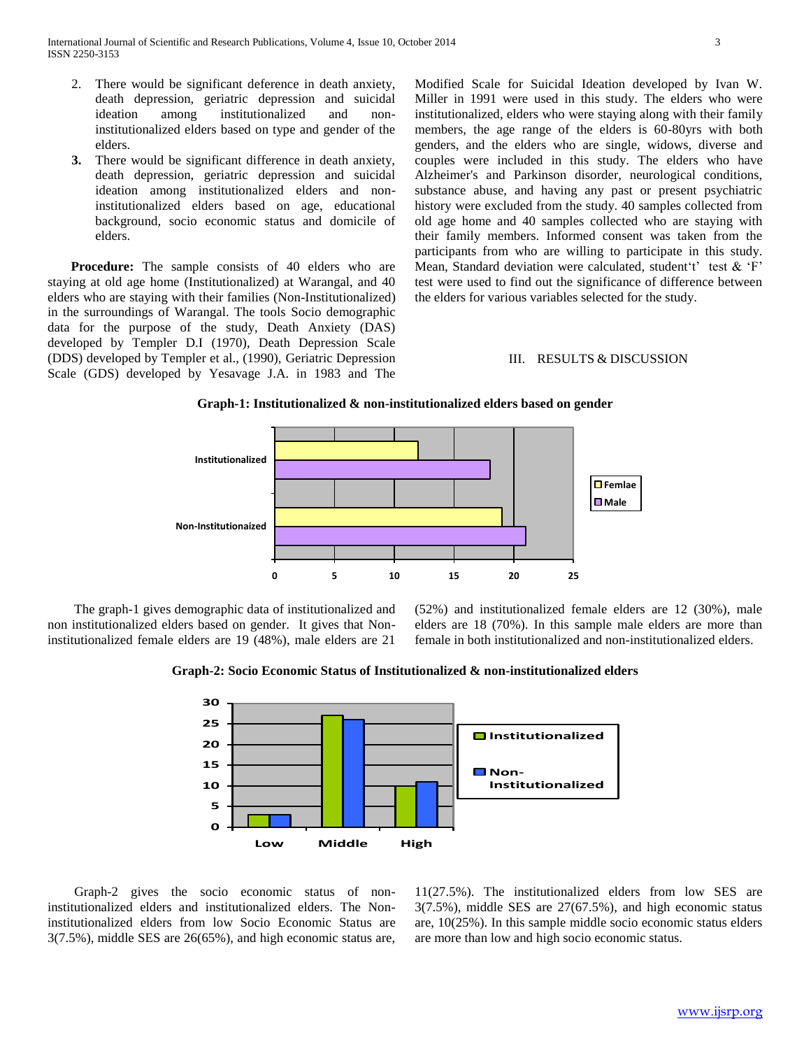- 2. There would be significant deference in death anxiety, death depression, geriatric depression and suicidal ideation among institutionalized and noninstitutionalized elders based on type and gender of the elders.
- **3.** There would be significant difference in death anxiety, death depression, geriatric depression and suicidal ideation among institutionalized elders and noninstitutionalized elders based on age, educational background, socio economic status and domicile of elders.

**Procedure:** The sample consists of 40 elders who are staying at old age home (Institutionalized) at Warangal, and 40 elders who are staying with their families (Non-Institutionalized) in the surroundings of Warangal. The tools Socio demographic data for the purpose of the study, Death Anxiety (DAS) developed by Templer D.I (1970), Death Depression Scale (DDS) developed by Templer et al., (1990), Geriatric Depression Scale (GDS) developed by Yesavage J.A. in 1983 and The Modified Scale for Suicidal Ideation developed by Ivan W. Miller in 1991 were used in this study. The elders who were institutionalized, elders who were staying along with their family members, the age range of the elders is 60-80yrs with both genders, and the elders who are single, widows, diverse and couples were included in this study. The elders who have Alzheimer's and Parkinson disorder, neurological conditions, substance abuse, and having any past or present psychiatric history were excluded from the study. 40 samples collected from old age home and 40 samples collected who are staying with their family members. Informed consent was taken from the participants from who are willing to participate in this study. Mean, Standard deviation were calculated, student 't' test  $&$  'F' test were used to find out the significance of difference between the elders for various variables selected for the study.

#### III. RESULTS & DISCUSSION





 The graph-1 gives demographic data of institutionalized and non institutionalized elders based on gender. It gives that Noninstitutionalized female elders are 19 (48%), male elders are 21

(52%) and institutionalized female elders are 12 (30%), male elders are 18 (70%). In this sample male elders are more than female in both institutionalized and non-institutionalized elders.

**Graph-2: Socio Economic Status of Institutionalized & non-institutionalized elders**



 Graph-2 gives the socio economic status of noninstitutionalized elders and institutionalized elders. The Noninstitutionalized elders from low Socio Economic Status are 3(7.5%), middle SES are 26(65%), and high economic status are,

11(27.5%). The institutionalized elders from low SES are 3(7.5%), middle SES are 27(67.5%), and high economic status are, 10(25%). In this sample middle socio economic status elders are more than low and high socio economic status.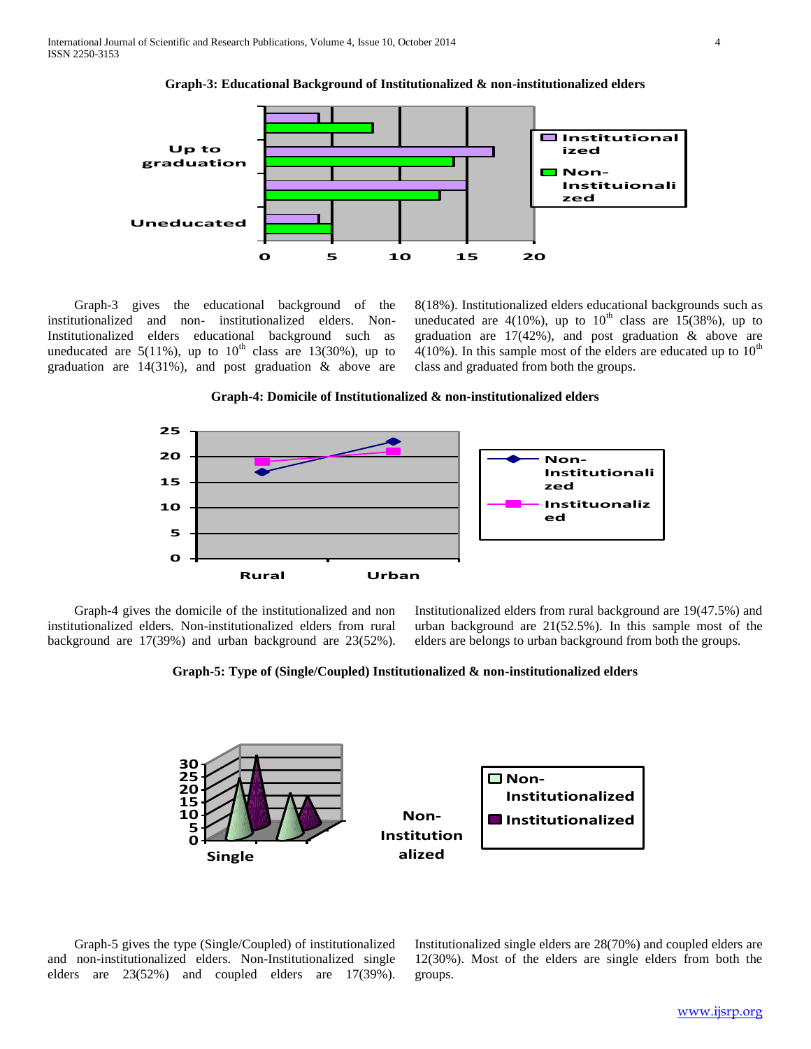

**Graph-3: Educational Background of Institutionalized & non-institutionalized elders**

 Graph-3 gives the educational background of the institutionalized and non- institutionalized elders. Non-Institutionalized elders educational background such as uneducated are  $5(11\%)$ , up to  $10<sup>th</sup>$  class are 13(30%), up to graduation are 14(31%), and post graduation & above are 8(18%). Institutionalized elders educational backgrounds such as uneducated are  $4(10\%)$ , up to  $10<sup>th</sup>$  class are 15(38%), up to graduation are  $17(42%)$ , and post graduation & above are 4(10%). In this sample most of the elders are educated up to  $10^{th}$ class and graduated from both the groups.





 Graph-4 gives the domicile of the institutionalized and non institutionalized elders. Non-institutionalized elders from rural background are 17(39%) and urban background are 23(52%).

Institutionalized elders from rural background are 19(47.5%) and urban background are 21(52.5%). In this sample most of the elders are belongs to urban background from both the groups.





 Graph-5 gives the type (Single/Coupled) of institutionalized and non-institutionalized elders. Non-Institutionalized single elders are 23(52%) and coupled elders are 17(39%).

Institutionalized single elders are 28(70%) and coupled elders are 12(30%). Most of the elders are single elders from both the groups.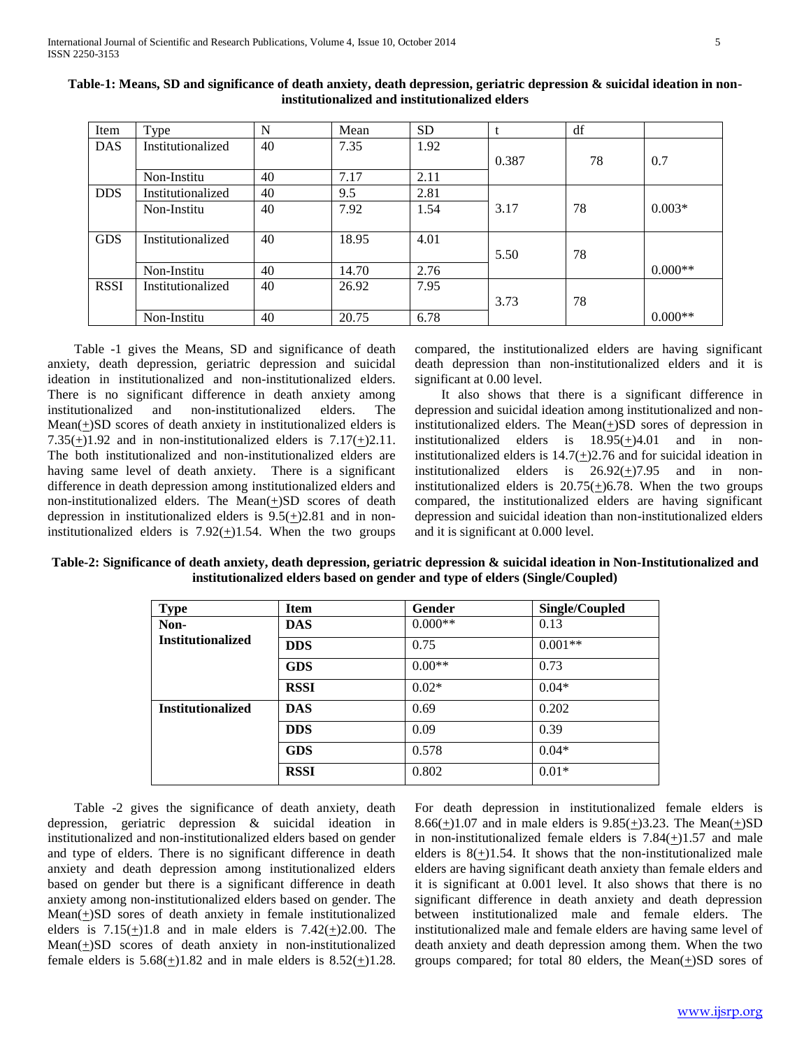| Item        | Type              | N  | Mean  | <b>SD</b> |       | df |           |
|-------------|-------------------|----|-------|-----------|-------|----|-----------|
| <b>DAS</b>  | Institutionalized | 40 | 7.35  | 1.92      |       |    |           |
|             |                   |    |       |           | 0.387 | 78 | 0.7       |
|             | Non-Institu       | 40 | 7.17  | 2.11      |       |    |           |
| <b>DDS</b>  | Institutionalized | 40 | 9.5   | 2.81      |       |    |           |
|             | Non-Institu       | 40 | 7.92  | 1.54      | 3.17  | 78 | $0.003*$  |
|             |                   |    |       |           |       |    |           |
| <b>GDS</b>  | Institutionalized | 40 | 18.95 | 4.01      |       |    |           |
|             |                   |    |       |           | 5.50  | 78 |           |
|             | Non-Institu       | 40 | 14.70 | 2.76      |       |    | $0.000**$ |
| <b>RSSI</b> | Institutionalized | 40 | 26.92 | 7.95      |       |    |           |
|             |                   |    |       |           | 3.73  | 78 |           |
|             | Non-Institu       | 40 | 20.75 | 6.78      |       |    | $0.000**$ |

**Table-1: Means, SD and significance of death anxiety, death depression, geriatric depression & suicidal ideation in noninstitutionalized and institutionalized elders**

 Table -1 gives the Means, SD and significance of death anxiety, death depression, geriatric depression and suicidal ideation in institutionalized and non-institutionalized elders. There is no significant difference in death anxiety among institutionalized and non-institutionalized elders. The Mean(+)SD scores of death anxiety in institutionalized elders is  $7.35(+)1.92$  and in non-institutionalized elders is  $7.17(+)2.11$ . The both institutionalized and non-institutionalized elders are having same level of death anxiety. There is a significant difference in death depression among institutionalized elders and non-institutionalized elders. The Mean $(\pm)SD$  scores of death depression in institutionalized elders is  $9.5(\pm)2.81$  and in noninstitutionalized elders is  $7.92(\pm)1.54$ . When the two groups

compared, the institutionalized elders are having significant death depression than non-institutionalized elders and it is significant at 0.00 level.

 It also shows that there is a significant difference in depression and suicidal ideation among institutionalized and noninstitutionalized elders. The Mean $(+)$ SD sores of depression in institutionalized elders is 18.95(+)4.01 and in noninstitutionalized elders is  $14.7(\pm)2.76$  and for suicidal ideation in institutionalized elders is  $26.92(\pm)7.95$  and in noninstitutionalized elders is  $20.75(\pm)6.78$ . When the two groups compared, the institutionalized elders are having significant depression and suicidal ideation than non-institutionalized elders and it is significant at 0.000 level.

**Table-2: Significance of death anxiety, death depression, geriatric depression & suicidal ideation in Non-Institutionalized and institutionalized elders based on gender and type of elders (Single/Coupled)**

| <b>Type</b>              | <b>Item</b> | Gender    | Single/Coupled |
|--------------------------|-------------|-----------|----------------|
| Non-                     | <b>DAS</b>  | $0.000**$ | 0.13           |
| <b>Institutionalized</b> | <b>DDS</b>  | 0.75      | $0.001**$      |
|                          | <b>GDS</b>  | $0.00**$  | 0.73           |
|                          | <b>RSSI</b> | $0.02*$   | $0.04*$        |
| <b>Institutionalized</b> | <b>DAS</b>  | 0.69      | 0.202          |
|                          | <b>DDS</b>  | 0.09      | 0.39           |
|                          | <b>GDS</b>  | 0.578     | $0.04*$        |
|                          | <b>RSSI</b> | 0.802     | $0.01*$        |

 Table -2 gives the significance of death anxiety, death depression, geriatric depression & suicidal ideation in institutionalized and non-institutionalized elders based on gender and type of elders. There is no significant difference in death anxiety and death depression among institutionalized elders based on gender but there is a significant difference in death anxiety among non-institutionalized elders based on gender. The  $Mean(\pm)SD$  sores of death anxiety in female institutionalized elders is  $7.15(+)1.8$  and in male elders is  $7.42(+)2.00$ . The  $Mean(\pm)SD$  scores of death anxiety in non-institutionalized female elders is  $5.68(\pm)1.82$  and in male elders is  $8.52(\pm)1.28$ .

For death depression in institutionalized female elders is 8.66( $\pm$ )1.07 and in male elders is 9.85( $\pm$ )3.23. The Mean( $\pm$ )SD in non-institutionalized female elders is  $7.84(\pm)1.57$  and male elders is  $8(+)1.54$ . It shows that the non-institutionalized male elders are having significant death anxiety than female elders and it is significant at 0.001 level. It also shows that there is no significant difference in death anxiety and death depression between institutionalized male and female elders. The institutionalized male and female elders are having same level of death anxiety and death depression among them. When the two groups compared; for total 80 elders, the Mean $(+)SD$  sores of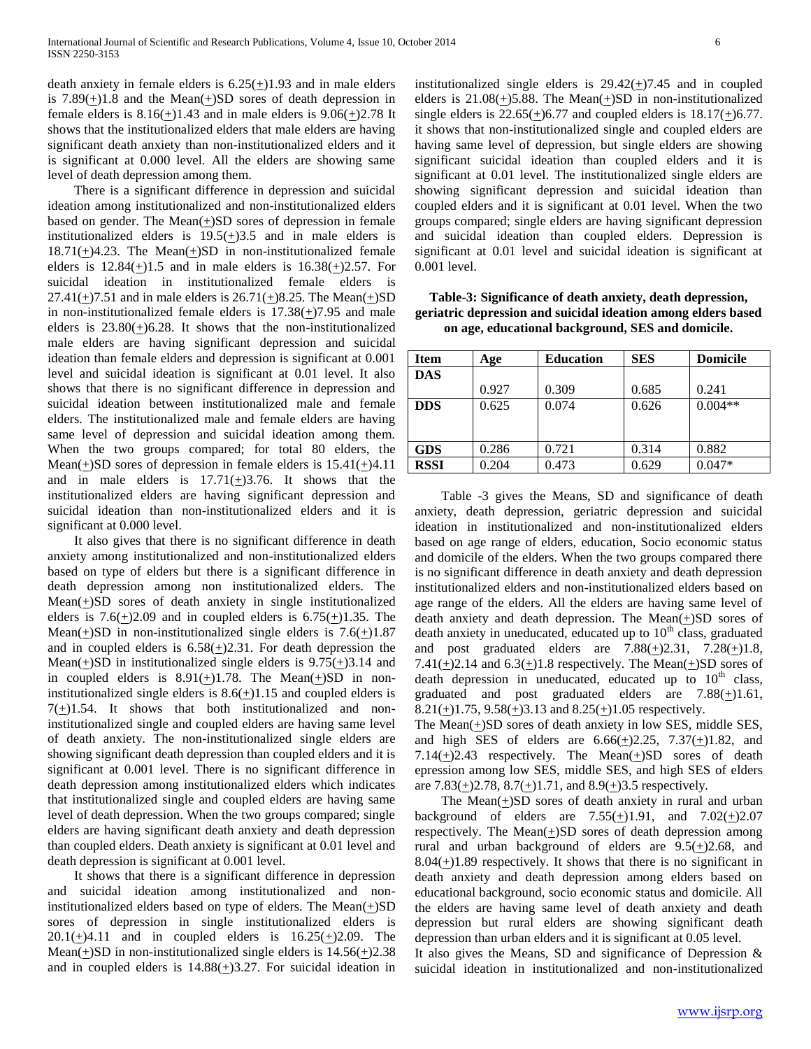death anxiety in female elders is  $6.25(+)1.93$  and in male elders is 7.89 $(\pm)$ 1.8 and the Mean $(\pm)$ SD sores of death depression in female elders is  $8.16(+)1.43$  and in male elders is  $9.06(+)2.78$  It shows that the institutionalized elders that male elders are having significant death anxiety than non-institutionalized elders and it is significant at 0.000 level. All the elders are showing same level of death depression among them.

 There is a significant difference in depression and suicidal ideation among institutionalized and non-institutionalized elders based on gender. The Mean(+)SD sores of depression in female institutionalized elders is  $19.5(\pm)3.5$  and in male elders is  $18.71(+)4.23$ . The Mean $(+)SD$  in non-institutionalized female elders is  $12.84(+)1.5$  and in male elders is  $16.38(+)2.57$ . For suicidal ideation in institutionalized female elders is 27.41( $\pm$ )7.51 and in male elders is 26.71( $\pm$ )8.25. The Mean( $\pm$ )SD in non-institutionalized female elders is  $17.38(\pm)7.95$  and male elders is  $23.80 \left(\frac{1}{2}\right)6.28$ . It shows that the non-institutionalized male elders are having significant depression and suicidal ideation than female elders and depression is significant at 0.001 level and suicidal ideation is significant at 0.01 level. It also shows that there is no significant difference in depression and suicidal ideation between institutionalized male and female elders. The institutionalized male and female elders are having same level of depression and suicidal ideation among them. When the two groups compared; for total 80 elders, the Mean(+)SD sores of depression in female elders is  $15.41(+)4.11$ and in male elders is  $17.71(\pm)3.76$ . It shows that the institutionalized elders are having significant depression and suicidal ideation than non-institutionalized elders and it is significant at 0.000 level.

 It also gives that there is no significant difference in death anxiety among institutionalized and non-institutionalized elders based on type of elders but there is a significant difference in death depression among non institutionalized elders. The  $Mean(\pm)SD$  sores of death anxiety in single institutionalized elders is  $7.6(+)2.09$  and in coupled elders is  $6.75(+)1.35$ . The Mean(+)SD in non-institutionalized single elders is  $7.6(+)1.87$ and in coupled elders is  $6.58(+)2.31$ . For death depression the Mean( $\pm$ )SD in institutionalized single elders is 9.75( $\pm$ )3.14 and in coupled elders is  $8.91(\pm)1.78$ . The Mean( $\pm$ )SD in noninstitutionalized single elders is  $8.6(\pm)1.15$  and coupled elders is  $7(+)1.54$ . It shows that both institutionalized and noninstitutionalized single and coupled elders are having same level of death anxiety. The non-institutionalized single elders are showing significant death depression than coupled elders and it is significant at 0.001 level. There is no significant difference in death depression among institutionalized elders which indicates that institutionalized single and coupled elders are having same level of death depression. When the two groups compared; single elders are having significant death anxiety and death depression than coupled elders. Death anxiety is significant at 0.01 level and death depression is significant at 0.001 level.

 It shows that there is a significant difference in depression and suicidal ideation among institutionalized and noninstitutionalized elders based on type of elders. The Mean $(+)SD$ sores of depression in single institutionalized elders is  $20.1(\pm)4.11$  and in coupled elders is  $16.25(\pm)2.09$ . The Mean( $\pm$ )SD in non-institutionalized single elders is 14.56( $\pm$ )2.38 and in coupled elders is  $14.88(+)3.27$ . For suicidal ideation in institutionalized single elders is  $29.42(+)7.45$  and in coupled elders is  $21.08(+)5.88$ . The Mean( $\pm$ )SD in non-institutionalized single elders is  $22.65(+)6.77$  and coupled elders is  $18.17(+)6.77$ . it shows that non-institutionalized single and coupled elders are having same level of depression, but single elders are showing significant suicidal ideation than coupled elders and it is significant at 0.01 level. The institutionalized single elders are showing significant depression and suicidal ideation than coupled elders and it is significant at 0.01 level. When the two groups compared; single elders are having significant depression and suicidal ideation than coupled elders. Depression is significant at 0.01 level and suicidal ideation is significant at 0.001 level.

| <b>Item</b> | Age   | <b>Education</b> | <b>SES</b> | <b>Domicile</b> |
|-------------|-------|------------------|------------|-----------------|
| <b>DAS</b>  |       |                  |            |                 |
|             | 0.927 | 0.309            | 0.685      | 0.241           |
| <b>DDS</b>  | 0.625 | 0.074            | 0.626      | $0.004**$       |
|             |       |                  |            |                 |
|             |       |                  |            |                 |
| <b>GDS</b>  | 0.286 | 0.721            | 0.314      | 0.882           |
| <b>RSSI</b> | 0.204 | 0.473            | 0.629      | $0.047*$        |

**Table-3: Significance of death anxiety, death depression, geriatric depression and suicidal ideation among elders based on age, educational background, SES and domicile.**

 Table -3 gives the Means, SD and significance of death anxiety, death depression, geriatric depression and suicidal ideation in institutionalized and non-institutionalized elders based on age range of elders, education, Socio economic status and domicile of the elders. When the two groups compared there is no significant difference in death anxiety and death depression institutionalized elders and non-institutionalized elders based on age range of the elders. All the elders are having same level of death anxiety and death depression. The Mean(+)SD sores of death anxiety in uneducated, educated up to  $10<sup>th</sup>$  class, graduated and post graduated elders are  $7.88(\pm)2.31$ ,  $7.28(\pm)1.8$ , 7.41(+)2.14 and  $6.3$ (+)1.8 respectively. The Mean(+)SD sores of death depression in uneducated, educated up to  $10<sup>th</sup>$  class, graduated and post graduated elders are  $7.88(\pm)1.61$ , 8.21(+)1.75,  $9.58(+)3.13$  and  $8.25(+)1.05$  respectively.

The Mean $(+)$ SD sores of death anxiety in low SES, middle SES, and high SES of elders are  $6.66(\pm)2.25$ ,  $7.37(\pm)1.82$ , and 7.14( $\pm$ )2.43 respectively. The Mean( $\pm$ )SD sores of death epression among low SES, middle SES, and high SES of elders are  $7.83(\pm)2.78$ ,  $8.7(\pm)1.71$ , and  $8.9(\pm)3.5$  respectively.

The Mean $(+)$ SD sores of death anxiety in rural and urban background of elders are  $7.55(\pm)1.91$ , and  $7.02(\pm)2.07$ respectively. The Mean $(\pm)SD$  sores of death depression among rural and urban background of elders are 9.5(+)2.68, and  $8.04(+)1.89$  respectively. It shows that there is no significant in death anxiety and death depression among elders based on educational background, socio economic status and domicile. All the elders are having same level of death anxiety and death depression but rural elders are showing significant death depression than urban elders and it is significant at 0.05 level.

It also gives the Means, SD and significance of Depression  $\&$ suicidal ideation in institutionalized and non-institutionalized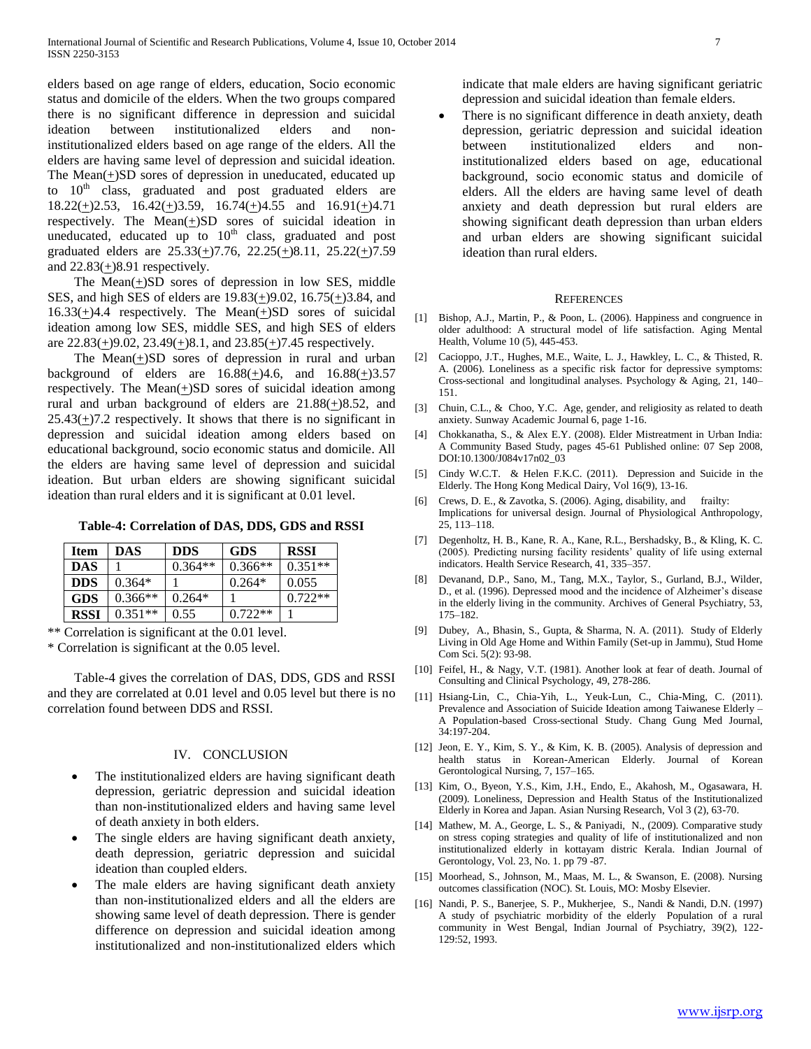elders based on age range of elders, education, Socio economic status and domicile of the elders. When the two groups compared there is no significant difference in depression and suicidal ideation between institutionalized elders and noninstitutionalized elders based on age range of the elders. All the elders are having same level of depression and suicidal ideation. The Mean $(+)$ SD sores of depression in uneducated, educated up to  $10<sup>th</sup>$  class, graduated and post graduated elders are  $18.22(+)2.53$ ,  $16.42(+)3.59$ ,  $16.74(+)4.55$  and  $16.91(+)4.71$ respectively. The Mean $(+)$ SD sores of suicidal ideation in uneducated, educated up to  $10<sup>th</sup>$  class, graduated and post graduated elders are  $25.33(\pm)7.76$ ,  $22.25(\pm)8.11$ ,  $25.22(\pm)7.59$ and  $22.83(+)8.91$  respectively.

The Mean $(+)SD$  sores of depression in low SES, middle SES, and high SES of elders are 19.83(+)9.02, 16.75(+)3.84, and  $16.33(\pm)4.4$  respectively. The Mean $(\pm)SD$  sores of suicidal ideation among low SES, middle SES, and high SES of elders are  $22.83(\pm)9.02$ ,  $23.49(\pm)8.1$ , and  $23.85(\pm)7.45$  respectively.

 The Mean(+)SD sores of depression in rural and urban background of elders are  $16.88(+)4.6$ , and  $16.88(+)3.57$ respectively. The Mean(+)SD sores of suicidal ideation among rural and urban background of elders are 21.88(+)8.52, and  $25.43(+)7.2$  respectively. It shows that there is no significant in depression and suicidal ideation among elders based on educational background, socio economic status and domicile. All the elders are having same level of depression and suicidal ideation. But urban elders are showing significant suicidal ideation than rural elders and it is significant at 0.01 level.

**Table-4: Correlation of DAS, DDS, GDS and RSSI**

| <b>Item</b> | DAS       | <b>DDS</b> | <b>GDS</b> | <b>RSSI</b> |
|-------------|-----------|------------|------------|-------------|
| <b>DAS</b>  |           | $0.364**$  | $0.366**$  | $0.351**$   |
| <b>DDS</b>  | $0.364*$  |            | $0.264*$   | 0.055       |
| <b>GDS</b>  | $0.366**$ | $0.264*$   |            | $0.722**$   |
| <b>RSSI</b> | $0.351**$ | 0.55       | $0.722**$  |             |

\*\* Correlation is significant at the 0.01 level.

\* Correlation is significant at the 0.05 level.

 Table-4 gives the correlation of DAS, DDS, GDS and RSSI and they are correlated at 0.01 level and 0.05 level but there is no correlation found between DDS and RSSI.

## IV. CONCLUSION

- The institutionalized elders are having significant death depression, geriatric depression and suicidal ideation than non-institutionalized elders and having same level of death anxiety in both elders.
- The single elders are having significant death anxiety, death depression, geriatric depression and suicidal ideation than coupled elders.
- The male elders are having significant death anxiety than non-institutionalized elders and all the elders are showing same level of death depression. There is gender difference on depression and suicidal ideation among institutionalized and non-institutionalized elders which

indicate that male elders are having significant geriatric depression and suicidal ideation than female elders.

 There is no significant difference in death anxiety, death depression, geriatric depression and suicidal ideation between institutionalized elders and noninstitutionalized elders based on age, educational background, socio economic status and domicile of elders. All the elders are having same level of death anxiety and death depression but rural elders are showing significant death depression than urban elders and urban elders are showing significant suicidal ideation than rural elders.

#### **REFERENCES**

- [1] Bishop, A.J., Martin, P., & Poon, L. (2006). Happiness and congruence in older adulthood: A structural model of life satisfaction. Aging Mental Health, Volume 10 (5), 445-453.
- [2] Cacioppo, J.T., Hughes, M.E., Waite, L. J., Hawkley, L. C., & Thisted, R. A. (2006). Loneliness as a specific risk factor for depressive symptoms: Cross-sectional and longitudinal analyses. Psychology & Aging, 21, 140– 151.
- [3] Chuin, C.L., & Choo, Y.C. Age, gender, and religiosity as related to death anxiety. Sunway Academic Journal 6, page 1-16.
- [4] Chokkanatha, S., & Alex E.Y. (2008). Elder Mistreatment in Urban India: A Community Based Study, pages 45-61 Published online: 07 Sep 2008, DOI:10.1300/J084v17n02\_03
- [5] Cindy W.C.T. & Helen F.K.C. (2011). Depression and Suicide in the Elderly. The Hong Kong Medical Dairy, Vol 16(9), 13-16.
- [6] Crews, D. E., & Zavotka, S. (2006). Aging, disability, and frailty: Implications for universal design. Journal of Physiological Anthropology, 25, 113–118.
- [7] Degenholtz, H. B., Kane, R. A., Kane, R.L., Bershadsky, B., & Kling, K. C. (2005). Predicting nursing facility residents" quality of life using external indicators. Health Service Research, 41, 335–357.
- [8] Devanand, D.P., Sano, M., Tang, M.X., Taylor, S., Gurland, B.J., Wilder, D., et al. (1996). Depressed mood and the incidence of Alzheimer's disease in the elderly living in the community. Archives of General Psychiatry, 53, 175–182.
- [9] Dubey, A., Bhasin, S., Gupta, & Sharma, N. A. (2011). Study of Elderly Living in Old Age Home and Within Family (Set-up in Jammu), Stud Home Com Sci. 5(2): 93-98.
- [10] Feifel, H., & Nagy, V.T. (1981). Another look at fear of death. Journal of Consulting and Clinical Psychology, 49, 278-286.
- [11] Hsiang-Lin, C., Chia-Yih, L., Yeuk-Lun, C., Chia-Ming, C. (2011). Prevalence and Association of Suicide Ideation among Taiwanese Elderly – A Population-based Cross-sectional Study. Chang Gung Med Journal, 34:197-204.
- [12] Jeon, E. Y., Kim, S. Y., & Kim, K. B. (2005). Analysis of depression and health status in Korean-American Elderly. Journal of Korean Gerontological Nursing, 7, 157–165.
- [13] Kim, O., Byeon, Y.S., Kim, J.H., Endo, E., Akahosh, M., Ogasawara, H. (2009). Loneliness, Depression and Health Status of the Institutionalized Elderly in Korea and Japan. Asian Nursing Research, Vol 3 (2), 63-70.
- [14] Mathew, M. A., George, L. S., & Paniyadi, N., (2009). Comparative study on stress coping strategies and quality of life of institutionalized and non institutionalized elderly in kottayam distric Kerala. Indian Journal of Gerontology, Vol. 23, No. 1. pp 79 -87.
- [15] Moorhead, S., Johnson, M., Maas, M. L., & Swanson, E. (2008). Nursing outcomes classification (NOC). St. Louis, MO: Mosby Elsevier.
- [16] Nandi, P. S., Banerjee, S. P., Mukherjee, S., Nandi & Nandi, D.N. (1997) A study of psychiatric morbidity of the elderly Population of a rural community in West Bengal, Indian Journal of Psychiatry, 39(2), 122- 129:52, 1993.